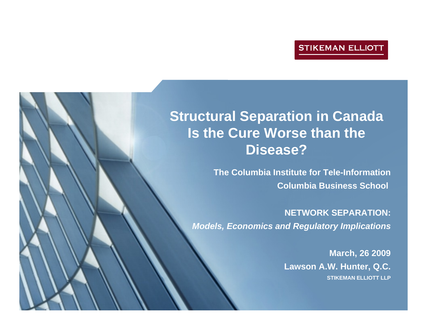# **Structural Separation in Canada Is the Cure Worse than the Disease?**

**The Columbia Institute for Tele-Information Columbia Business School** 

**NETWORK SEPARATION:***Models, Economics and Regulatory Implications*

> **March, 26 2009 Lawson A.W. Hunter, Q.C. STIKEMAN ELLIOTT LLP**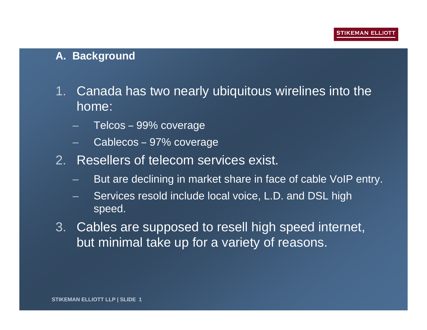#### **A. Background**

- 1. Canada has two nearly ubiquitous wirelines into the home:
	- Telcos 99% coverage
	- Cablecos 97% coverage
- 2. Resellers of telecom services exist.
	- But are declining in market share in face of cable VoIP entry.
	- Services resold include local voice, L.D. and DSL high speed.
- 3. Cables are supposed to resell high speed internet, but minimal take up for a variety of reasons.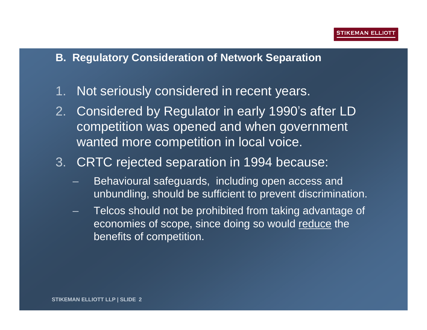#### **B. Regulatory Consideration of Network Separation**

- 1. Not seriously considered in recent years.
- 2. Considered by Regulator in early 1990's after LD competition was opened and when government wanted more competition in local voice.
- 3. CRTC rejected separation in 1994 because:
	- Behavioural safeguards, including open access and unbundling, should be sufficient to prevent discrimination.
	- Telcos should not be prohibited from taking advantage of economies of scope, since doing so would reduce the benefits of competition.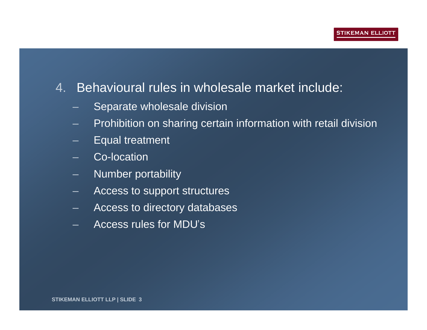## 4. Behavioural rules in wholesale market include:

- Separate wholesale division
- Prohibition on sharing certain information with retail division
- Equal treatment
- Co-location
- Number portability
- Access to support structures
- Access to directory databases
- Access rules for MDU's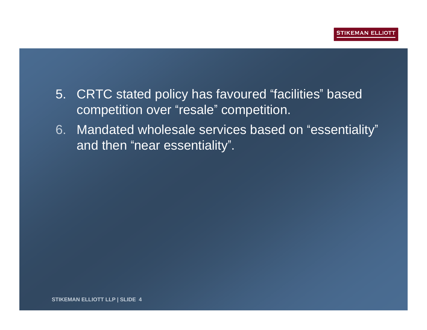- 5. CRTC stated policy has favoured "facilities" based competition over "resale" competition.
- 6. Mandated wholesale services based on "essentiality" and then "near essentiality".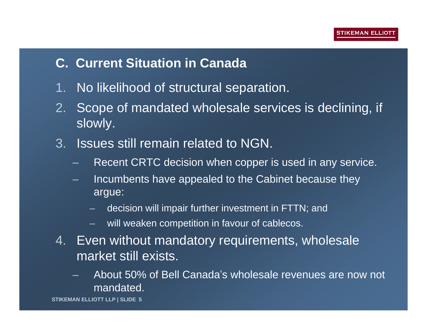# **C. Current Situation in Canada**

- 1. No likelihood of structural separation.
- 2. Scope of mandated wholesale services is declining, if slowly.
- 3. Issues still remain related to NGN.
	- Recent CRTC decision when copper is used in any service.
	- Incumbents have appealed to the Cabinet because they argue:
		- decision will impair further investment in FTTN; and
		- will weaken competition in favour of cablecos.
- 4. Even without mandatory requirements, wholesale market still exists.
	- About 50% of Bell Canada's wholesale revenues are now not mandated.

**STIKEMAN ELLIOTT LLP | SLIDE 5**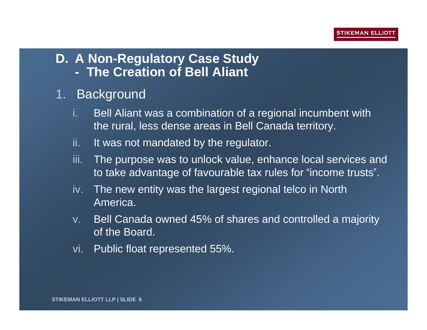## **D. A Non-Regulatory Case Study - The Creation of Bell Aliant**

# 1. Background

- i. Bell Aliant was a combination of a regional incumbent with the rural, less dense areas in Bell Canada territory.
- ii. It was not mandated by the regulator.
- iii. The purpose was to unlock value, enhance local services and to take advantage of favourable tax rules for "income trusts".
- iv. The new entity was the largest regional telco in North America.
- v. Bell Canada owned 45% of shares and controlled a majority of the Board.
- vi. Public float represented 55%.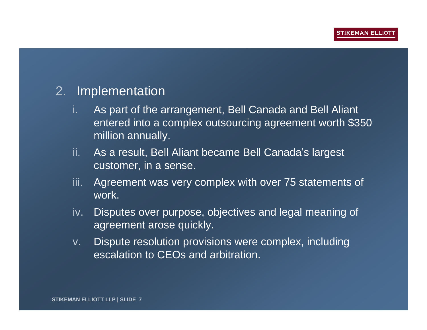### 2. Implementation

- i. As part of the arrangement, Bell Canada and Bell Aliant entered into a complex outsourcing agreement worth \$350 million annually.
- ii. As a result, Bell Aliant became Bell Canada's largest customer, in a sense.
- iii. Agreement was very complex with over 75 statements of work.
- iv. Disputes over purpose, objectives and legal meaning of agreement arose quickly.
- v. Dispute resolution provisions were complex, including escalation to CEOs and arbitration.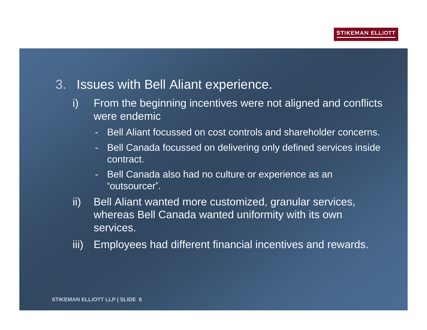- 3. Issues with Bell Aliant experience.
	- i) From the beginning incentives were not aligned and conflicts were endemic
		- Bell Aliant focussed on cost controls and shareholder concerns.
		- Bell Canada focussed on delivering only defined services inside contract.
		- Bell Canada also had no culture or experience as an "outsourcer".
	- ii) Bell Aliant wanted more customized, granular services, whereas Bell Canada wanted uniformity with its own services.
	- iii) Employees had different financial incentives and rewards.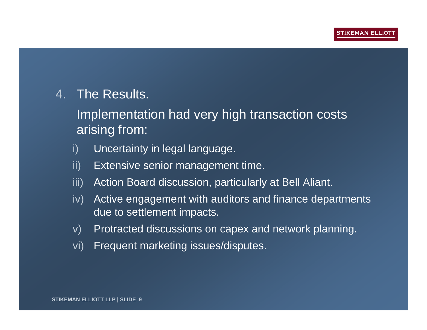## 4. The Results.

Implementation had very high transaction costs arising from:

- i) Uncertainty in legal language.
- ii) Extensive senior management time.
- iii) Action Board discussion, particularly at Bell Aliant.
- iv) Active engagement with auditors and finance departments due to settlement impacts.
- v) Protracted discussions on capex and network planning.
- vi) Frequent marketing issues/disputes.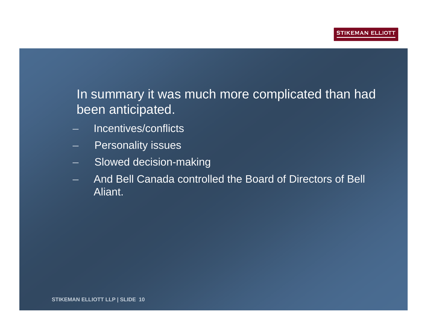# In summary it was much more complicated than had been anticipated.

- Incentives/conflicts
- Personality issues
- Slowed decision-making
- And Bell Canada controlled the Board of Directors of Bell Aliant.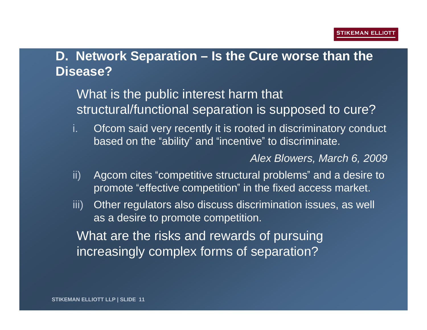# **D. Network Separation – Is the Cure worse than the Disease?**

What is the public interest harm that structural/functional separation is supposed to cure?

i. Ofcom said very recently it is rooted in discriminatory conduct based on the "ability" and "incentive" to discriminate.

*Alex Blowers, March 6, 2009*

- ii) Agcom cites "competitive structural problems" and a desire to promote "effective competition" in the fixed access market.
- iii) Other regulators also discuss discrimination issues, as well as a desire to promote competition.

What are the risks and rewards of pursuing increasingly complex forms of separation?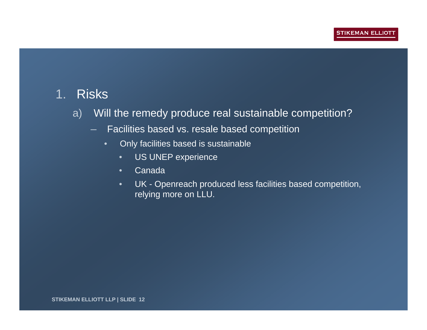## 1. Risks

- a) Will the remedy produce real sustainable competition?
	- Facilities based vs. resale based competition
		- Only facilities based is sustainable
			- US UNEP experience
			- Canada
			- UK Openreach produced less facilities based competition, relying more on LLU.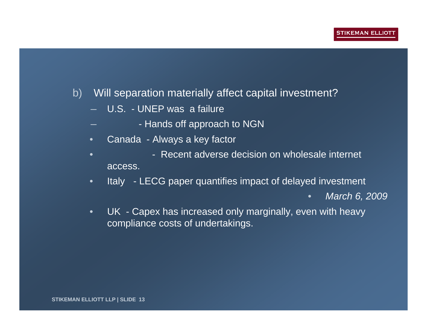### b) Will separation materially affect capital investment?

- U.S. UNEP was a failure
	- Hands off approach to NGN
- Canada Always a key factor
- **• • • • Recent adverse decision on wholesale internet** access.
- Italy LECG paper quantifies impact of delayed investment
	- *March 6, 2009*
- UK Capex has increased only marginally, even with heavy compliance costs of undertakings.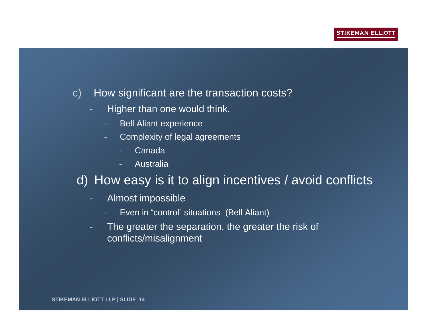- c) How significant are the transaction costs?
	- Higher than one would think.
		- Bell Aliant experience
		- Complexity of legal agreements
			- **Canada**
			- Australia

# d) How easy is it to align incentives / avoid conflicts

- Almost impossible
	- Even in "control" situations (Bell Aliant)
- The greater the separation, the greater the risk of conflicts/misalignment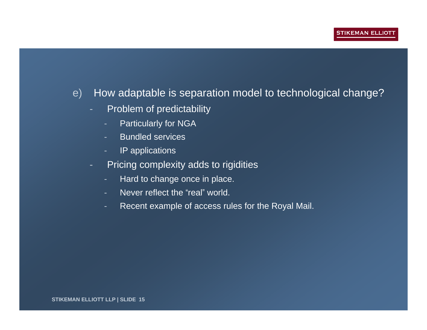#### e) How adaptable is separation model to technological change?

- Problem of predictability
	- Particularly for NGA
	- Bundled services
	- IP applications
- Pricing complexity adds to rigidities
	- Hard to change once in place.
	- Never reflect the "real" world.
	- Recent example of access rules for the Royal Mail.

**STIKEMAN ELLIOTT LLP | SLIDE 15**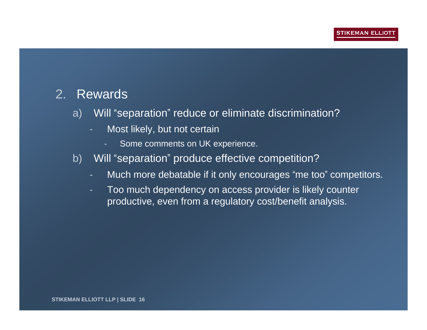### 2. Rewards

- a) Will "separation" reduce or eliminate discrimination?
	- Most likely, but not certain
		- Some comments on UK experience.
- b) Will "separation" produce effective competition?
	- Much more debatable if it only encourages "me too" competitors.
	- Too much dependency on access provider is likely counter productive, even from a regulatory cost/benefit analysis.